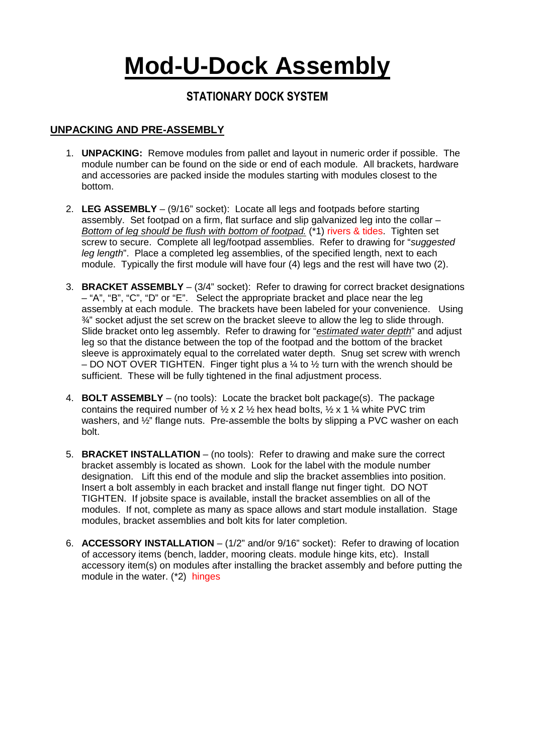# **Mod-U-Dock Assembly**

## **STATIONARY DOCK SYSTEM**

### **UNPACKING AND PRE-ASSEMBLY**

- 1. **UNPACKING:** Remove modules from pallet and layout in numeric order if possible. The module number can be found on the side or end of each module. All brackets, hardware and accessories are packed inside the modules starting with modules closest to the bottom.
- 2. **LEG ASSEMBLY** (9/16" socket): Locate all legs and footpads before starting assembly. Set footpad on a firm, flat surface and slip galvanized leg into the collar – Bottom of leg should be flush with bottom of footpad. (\*1) rivers & tides. Tighten set screw to secure. Complete all leg/footpad assemblies. Refer to drawing for "suggested leg length". Place a completed leg assemblies, of the specified length, next to each module. Typically the first module will have four (4) legs and the rest will have two (2).
- 3. **BRACKET ASSEMBLY** (3/4" socket): Refer to drawing for correct bracket designations – "A", "B", "C", "D" or "E". Select the appropriate bracket and place near the leg assembly at each module. The brackets have been labeled for your convenience. Using  $\frac{3}{4}$ " socket adjust the set screw on the bracket sleeve to allow the leg to slide through. Slide bracket onto leg assembly. Refer to drawing for "estimated water depth" and adjust leg so that the distance between the top of the footpad and the bottom of the bracket sleeve is approximately equal to the correlated water depth. Snug set screw with wrench – DO NOT OVER TIGHTEN. Finger tight plus a  $\frac{1}{4}$  to  $\frac{1}{2}$  turn with the wrench should be sufficient. These will be fully tightened in the final adjustment process.
- 4. **BOLT ASSEMBLY** (no tools): Locate the bracket bolt package(s). The package contains the required number of  $\frac{1}{2} \times 2 \frac{1}{2}$  hex head bolts,  $\frac{1}{2} \times 1 \frac{1}{4}$  white PVC trim washers, and  $\frac{1}{2}$ " flange nuts. Pre-assemble the bolts by slipping a PVC washer on each bolt.
- 5. **BRACKET INSTALLATION** (no tools): Refer to drawing and make sure the correct bracket assembly is located as shown. Look for the label with the module number designation. Lift this end of the module and slip the bracket assemblies into position. Insert a bolt assembly in each bracket and install flange nut finger tight. DO NOT TIGHTEN. If jobsite space is available, install the bracket assemblies on all of the modules. If not, complete as many as space allows and start module installation. Stage modules, bracket assemblies and bolt kits for later completion.
- 6. **ACCESSORY INSTALLATION** (1/2" and/or 9/16" socket): Refer to drawing of location of accessory items (bench, ladder, mooring cleats. module hinge kits, etc). Install accessory item(s) on modules after installing the bracket assembly and before putting the module in the water. (\*2) hinges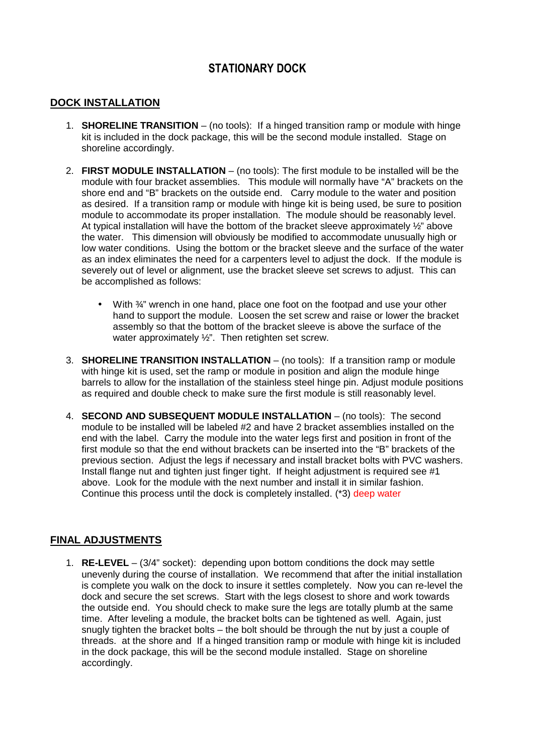## **STATIONARY DOCK**

#### **DOCK INSTALLATION**

- 1. **SHORELINE TRANSITION**  (no tools): If a hinged transition ramp or module with hinge kit is included in the dock package, this will be the second module installed. Stage on shoreline accordingly.
- 2. **FIRST MODULE INSTALLATION**  (no tools): The first module to be installed will be the module with four bracket assemblies. This module will normally have "A" brackets on the shore end and "B" brackets on the outside end. Carry module to the water and position as desired. If a transition ramp or module with hinge kit is being used, be sure to position module to accommodate its proper installation. The module should be reasonably level. At typical installation will have the bottom of the bracket sleeve approximately  $\frac{1}{2}$ " above the water. This dimension will obviously be modified to accommodate unusually high or low water conditions. Using the bottom or the bracket sleeve and the surface of the water as an index eliminates the need for a carpenters level to adjust the dock. If the module is severely out of level or alignment, use the bracket sleeve set screws to adjust. This can be accomplished as follows:
	- With  $\frac{3}{4}$ " wrench in one hand, place one foot on the footpad and use your other hand to support the module. Loosen the set screw and raise or lower the bracket assembly so that the bottom of the bracket sleeve is above the surface of the water approximately ½". Then retighten set screw.
- 3. **SHORELINE TRANSITION INSTALLATION**  (no tools): If a transition ramp or module with hinge kit is used, set the ramp or module in position and align the module hinge barrels to allow for the installation of the stainless steel hinge pin. Adjust module positions as required and double check to make sure the first module is still reasonably level.
- 4. **SECOND AND SUBSEQUENT MODULE INSTALLATION** (no tools): The second module to be installed will be labeled #2 and have 2 bracket assemblies installed on the end with the label. Carry the module into the water legs first and position in front of the first module so that the end without brackets can be inserted into the "B" brackets of the previous section. Adjust the legs if necessary and install bracket bolts with PVC washers. Install flange nut and tighten just finger tight. If height adjustment is required see #1 above. Look for the module with the next number and install it in similar fashion. Continue this process until the dock is completely installed. (\*3) deep water

#### **FINAL ADJUSTMENTS**

1. **RE-LEVEL** – (3/4" socket): depending upon bottom conditions the dock may settle unevenly during the course of installation. We recommend that after the initial installation is complete you walk on the dock to insure it settles completely. Now you can re-level the dock and secure the set screws. Start with the legs closest to shore and work towards the outside end. You should check to make sure the legs are totally plumb at the same time. After leveling a module, the bracket bolts can be tightened as well. Again, just snugly tighten the bracket bolts – the bolt should be through the nut by just a couple of threads. at the shore and If a hinged transition ramp or module with hinge kit is included in the dock package, this will be the second module installed. Stage on shoreline accordingly.